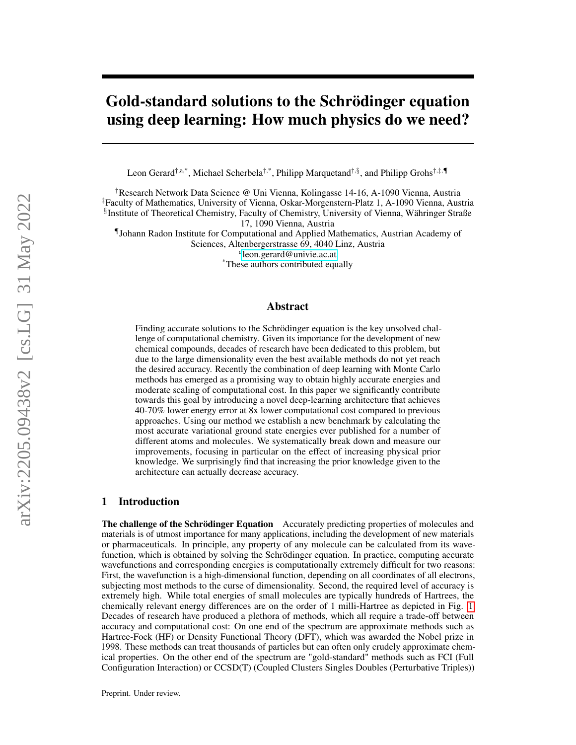# Gold-standard solutions to the Schrödinger equation using deep learning: How much physics do we need?

Leon Gerard†,a,\*, Michael Scherbela†,\*, Philipp Marquetand†,§, and Philipp Grohs†,‡,¶

†Research Network Data Science @ Uni Vienna, Kolingasse 14-16, A-1090 Vienna, Austria ‡Faculty of Mathematics, University of Vienna, Oskar-Morgenstern-Platz 1, A-1090 Vienna, Austria § Institute of Theoretical Chemistry, Faculty of Chemistry, University of Vienna, Währinger Straße

17, 1090 Vienna, Austria

¶Johann Radon Institute for Computational and Applied Mathematics, Austrian Academy of Sciences, Altenbergerstrasse 69, 4040 Linz, Austria

a [leon.gerard@univie.ac.at](mailto:leon.gerard@univie.ac.at)

\*These authors contributed equally

#### Abstract

Finding accurate solutions to the Schrödinger equation is the key unsolved challenge of computational chemistry. Given its importance for the development of new chemical compounds, decades of research have been dedicated to this problem, but due to the large dimensionality even the best available methods do not yet reach the desired accuracy. Recently the combination of deep learning with Monte Carlo methods has emerged as a promising way to obtain highly accurate energies and moderate scaling of computational cost. In this paper we significantly contribute towards this goal by introducing a novel deep-learning architecture that achieves 40-70% lower energy error at 8x lower computational cost compared to previous approaches. Using our method we establish a new benchmark by calculating the most accurate variational ground state energies ever published for a number of different atoms and molecules. We systematically break down and measure our improvements, focusing in particular on the effect of increasing physical prior knowledge. We surprisingly find that increasing the prior knowledge given to the architecture can actually decrease accuracy.

## 1 Introduction

The challenge of the Schrödinger Equation Accurately predicting properties of molecules and materials is of utmost importance for many applications, including the development of new materials or pharmaceuticals. In principle, any property of any molecule can be calculated from its wavefunction, which is obtained by solving the Schrödinger equation. In practice, computing accurate wavefunctions and corresponding energies is computationally extremely difficult for two reasons: First, the wavefunction is a high-dimensional function, depending on all coordinates of all electrons, subjecting most methods to the curse of dimensionality. Second, the required level of accuracy is extremely high. While total energies of small molecules are typically hundreds of Hartrees, the chemically relevant energy differences are on the order of 1 milli-Hartree as depicted in Fig. [1.](#page-1-0) Decades of research have produced a plethora of methods, which all require a trade-off between accuracy and computational cost: On one end of the spectrum are approximate methods such as Hartree-Fock (HF) or Density Functional Theory (DFT), which was awarded the Nobel prize in 1998. These methods can treat thousands of particles but can often only crudely approximate chemical properties. On the other end of the spectrum are "gold-standard" methods such as FCI (Full Configuration Interaction) or CCSD(T) (Coupled Clusters Singles Doubles (Perturbative Triples))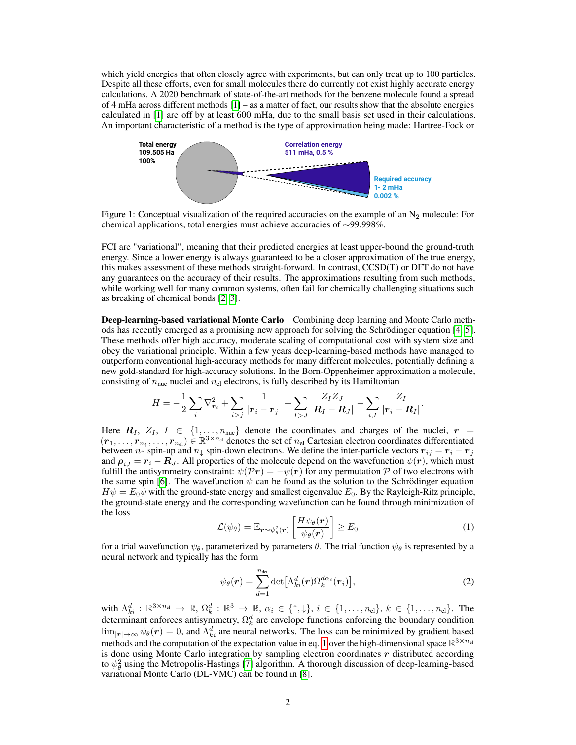which yield energies that often closely agree with experiments, but can only treat up to 100 particles. Despite all these efforts, even for small molecules there do currently not exist highly accurate energy calculations. A 2020 benchmark of state-of-the-art methods for the benzene molecule found a spread of 4 mHa across different methods [\[1\]](#page-10-0) – as a matter of fact, our results show that the absolute energies calculated in [\[1\]](#page-10-0) are off by at least 600 mHa, due to the small basis set used in their calculations. An important characteristic of a method is the type of approximation being made: Hartree-Fock or

<span id="page-1-0"></span>

Figure 1: Conceptual visualization of the required accuracies on the example of an  $N_2$  molecule: For chemical applications, total energies must achieve accuracies of ∼99.998%.

FCI are "variational", meaning that their predicted energies at least upper-bound the ground-truth energy. Since a lower energy is always guaranteed to be a closer approximation of the true energy, this makes assessment of these methods straight-forward. In contrast, CCSD(T) or DFT do not have any guarantees on the accuracy of their results. The approximations resulting from such methods, while working well for many common systems, often fail for chemically challenging situations such as breaking of chemical bonds [\[2,](#page-10-1) [3\]](#page-10-2).

Deep-learning-based variational Monte Carlo Combining deep learning and Monte Carlo methods has recently emerged as a promising new approach for solving the Schrödinger equation [\[4,](#page-10-3) [5\]](#page-10-4). These methods offer high accuracy, moderate scaling of computational cost with system size and obey the variational principle. Within a few years deep-learning-based methods have managed to outperform conventional high-accuracy methods for many different molecules, potentially defining a new gold-standard for high-accuracy solutions. In the Born-Oppenheimer approximation a molecule, consisting of  $n_{\text{nuc}}$  nuclei and  $n_{\text{el}}$  electrons, is fully described by its Hamiltonian

$$
H = -\frac{1}{2} \sum_{i} \nabla_{\bm{r}_i}^2 + \sum_{i > j} \frac{1}{|\bm{r}_i - \bm{r}_j|} + \sum_{I > J} \frac{Z_I Z_J}{|\bm{R}_I - \bm{R}_J|} - \sum_{i, I} \frac{Z_I}{|\bm{r}_i - \bm{R}_I|}.
$$

Here  $R_I$ ,  $Z_I$ ,  $I \in \{1, \ldots, n_{\text{nuc}}\}$  denote the coordinates and charges of the nuclei,  $r =$  $(r_1,\ldots,r_{n_{\tau}},\ldots,r_{n_{\text{el}}})\in\mathbb{R}^{3\times n_{\text{el}}}$  denotes the set of  $n_{\text{el}}$  Cartesian electron coordinates differentiated between  $n_{\uparrow}$  spin-up and  $n_{\downarrow}$  spin-down electrons. We define the inter-particle vectors  $\mathbf{r}_{ij} = \mathbf{r}_i - \mathbf{r}_j$ and  $\rho_{i,j} = r_i - R_j$ . All properties of the molecule depend on the wavefunction  $\psi(r)$ , which must fulfill the antisymmetry constraint:  $\psi(\mathcal{P}r) = -\psi(r)$  for any permutation  $\mathcal P$  of two electrons with the same spin [\[6\]](#page-10-5). The wavefunction  $\psi$  can be found as the solution to the Schrödinger equation  $H\psi = E_0\psi$  with the ground-state energy and smallest eigenvalue  $E_0$ . By the Rayleigh-Ritz principle, the ground-state energy and the corresponding wavefunction can be found through minimization of the loss

$$
\mathcal{L}(\psi_{\theta}) = \mathbb{E}_{\boldsymbol{r}\sim\psi_{\theta}^{2}(\boldsymbol{r})}\left[\frac{H\psi_{\theta}(\boldsymbol{r})}{\psi_{\theta}(\boldsymbol{r})}\right] \geq E_{0}
$$
\n(1)

<span id="page-1-1"></span>for a trial wavefunction  $\psi_{\theta}$ , parameterized by parameters  $\theta$ . The trial function  $\psi_{\theta}$  is represented by a neural network and typically has the form

$$
\psi_{\theta}(\boldsymbol{r}) = \sum_{d=1}^{n_{\text{det}}} \det \left[ \Lambda_{ki}^d(\boldsymbol{r}) \Omega_k^{d\alpha_i}(\boldsymbol{r}_i) \right], \tag{2}
$$

with  $\Lambda_{ki}^d : \mathbb{R}^{3 \times n_{el}} \to \mathbb{R}, \Omega_k^d : \mathbb{R}^3 \to \mathbb{R}, \alpha_i \in \{\uparrow, \downarrow\}, i \in \{1, \ldots, n_{el}\}, k \in \{1, \ldots, n_{el}\}.$  The determinant enforces antisymmetry,  $\Omega_k^d$  are envelope functions enforcing the boundary condition  $\lim_{|\mathbf{r}|\to\infty} \psi_{\theta}(\mathbf{r}) = 0$ , and  $\Lambda_{ki}^d$  are neural networks. The loss can be minimized by gradient based methods and the computation of the expectation value in eq. [1](#page-1-1) over the high-dimensional space  $\mathbb{R}^{3 \times n_{el}}$ is done using Monte Carlo integration by sampling electron coordinates r distributed according to  $\psi_{\theta}^2$  using the Metropolis-Hastings [\[7\]](#page-10-6) algorithm. A thorough discussion of deep-learning-based variational Monte Carlo (DL-VMC) can be found in [\[8\]](#page-10-7).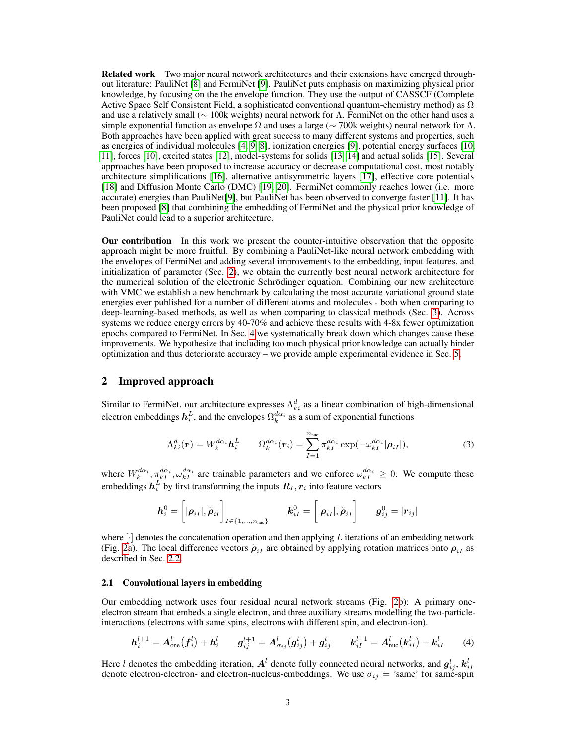Related work Two major neural network architectures and their extensions have emerged throughout literature: PauliNet [\[8\]](#page-10-7) and FermiNet [\[9\]](#page-10-8). PauliNet puts emphasis on maximizing physical prior knowledge, by focusing on the the envelope function. They use the output of CASSCF (Complete Active Space Self Consistent Field, a sophisticated conventional quantum-chemistry method) as  $\Omega$ and use a relatively small ( $\sim$  100k weights) neural network for  $\Lambda$ . FermiNet on the other hand uses a simple exponential function as envelope  $\Omega$  and uses a large ( $\sim$  700k weights) neural network for  $\Lambda$ . Both approaches have been applied with great success to many different systems and properties, such as energies of individual molecules [\[4,](#page-10-3) [9,](#page-10-8) [8\]](#page-10-7), ionization energies [\[9\]](#page-10-8), potential energy surfaces [\[10,](#page-10-9) [11\]](#page-10-10), forces [\[10\]](#page-10-9), excited states [\[12\]](#page-10-11), model-systems for solids [\[13,](#page-10-12) [14\]](#page-10-13) and actual solids [\[15\]](#page-10-14). Several approaches have been proposed to increase accuracy or decrease computational cost, most notably architecture simplifications [\[16\]](#page-10-15), alternative antisymmetric layers [\[17\]](#page-11-0), effective core potentials [\[18\]](#page-11-1) and Diffusion Monte Carlo (DMC) [\[19,](#page-11-2) [20\]](#page-11-3). FermiNet commonly reaches lower (i.e. more accurate) energies than PauliNet[\[9\]](#page-10-8), but PauliNet has been observed to converge faster [\[11\]](#page-10-10). It has been proposed [\[8\]](#page-10-7) that combining the embedding of FermiNet and the physical prior knowledge of PauliNet could lead to a superior architecture.

Our contribution In this work we present the counter-intuitive observation that the opposite approach might be more fruitful. By combining a PauliNet-like neural network embedding with the envelopes of FermiNet and adding several improvements to the embedding, input features, and initialization of parameter (Sec. [2\)](#page-2-0), we obtain the currently best neural network architecture for the numerical solution of the electronic Schrödinger equation. Combining our new architecture with VMC we establish a new benchmark by calculating the most accurate variational ground state energies ever published for a number of different atoms and molecules - both when comparing to deep-learning-based methods, as well as when comparing to classical methods (Sec. [3\)](#page-5-0). Across systems we reduce energy errors by 40-70% and achieve these results with 4-8x fewer optimization epochs compared to FermiNet. In Sec. [4](#page-6-0) we systematically break down which changes cause these improvements. We hypothesize that including too much physical prior knowledge can actually hinder optimization and thus deteriorate accuracy – we provide ample experimental evidence in Sec. [5.](#page-7-0)

#### <span id="page-2-0"></span>2 Improved approach

Similar to FermiNet, our architecture expresses  $\Lambda_{ki}^d$  as a linear combination of high-dimensional electron embeddings  $h_i^L$ , and the envelopes  $\Omega_k^{d\alpha_i}$  as a sum of exponential functions

$$
\Lambda_{ki}^d(\boldsymbol{r}) = W_k^{d\alpha_i} \boldsymbol{h}_i^L \qquad \Omega_k^{d\alpha_i}(\boldsymbol{r}_i) = \sum_{I=1}^{n_{\text{nuc}}} \pi_{kI}^{d\alpha_i} \exp(-\omega_{kI}^{d\alpha_i}|\boldsymbol{\rho}_{iI}|), \qquad (3)
$$

where  $W_k^{d\alpha_i}$ ,  $\pi_{kI}^{d\alpha_i}$ ,  $\omega_{kI}^{d\alpha_i}$  are trainable parameters and we enforce  $\omega_{kI}^{d\alpha_i} \geq 0$ . We compute these embeddings  $\boldsymbol{h}_i^L$  by first transforming the inputs  $\boldsymbol{R}_I,\boldsymbol{r}_i$  into feature vectors

$$
\boldsymbol{h}_{i}^{0}=\bigg[|\boldsymbol{\rho}_{iI}|,\tilde{\boldsymbol{\rho}}_{iI}\bigg]_{I\in\{1,\ldots,n_{\text{nuc}}\}}\qquad \boldsymbol{k}_{iI}^{0}=\bigg[|\boldsymbol{\rho}_{iI}|,\tilde{\boldsymbol{\rho}}_{iI}\bigg]\qquad \boldsymbol{g}_{ij}^{0}=|\boldsymbol{r}_{ij}|
$$

where  $\lvert \cdot \rvert$  denotes the concatenation operation and then applying L iterations of an embedding network (Fig. [2a](#page-3-0)). The local difference vectors  $\tilde{\rho}_{iI}$  are obtained by applying rotation matrices onto  $\rho_{iI}$  as described in Sec. [2.2.](#page-3-1)

#### <span id="page-2-1"></span>2.1 Convolutional layers in embedding

Our embedding network uses four residual neural network streams (Fig. [2b](#page-3-0)): A primary oneelectron stream that embeds a single electron, and three auxiliary streams modelling the two-particleinteractions (electrons with same spins, electrons with different spin, and electron-ion).

$$
h_i^{l+1} = A_{one}^l(f_i^l) + h_i^l \t g_{ij}^{l+1} = A_{\sigma_{ij}}^l(g_{ij}^l) + g_{ij}^l \t k_{iI}^{l+1} = A_{nuc}^l(k_{iI}^l) + k_{iI}^l \t (4)
$$

Here l denotes the embedding iteration,  $A^l$  denote fully connected neural networks, and  $g_{ij}^l, k_{iI}^l$ denote electron-electron- and electron-nucleus-embeddings. We use  $\sigma_{ij}$  = 'same' for same-spin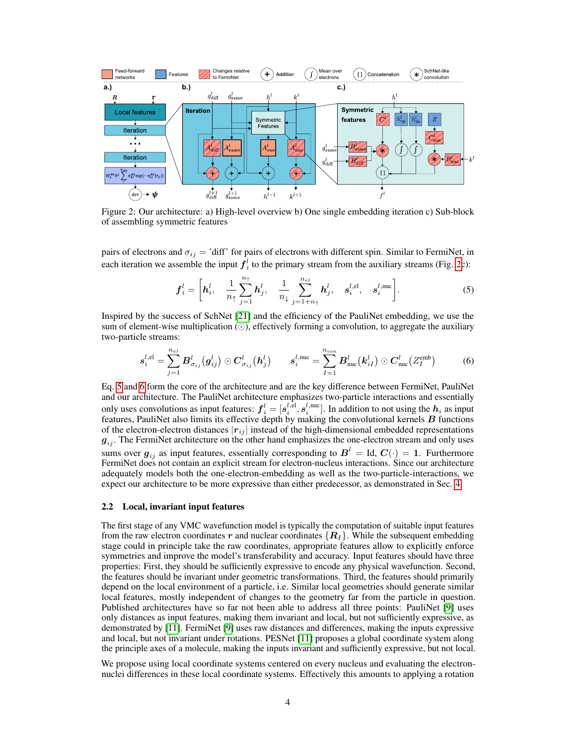<span id="page-3-0"></span>

Figure 2: Our architecture: a) High-level overview b) One single embedding iteration c) Sub-block of assembling symmetric features

pairs of electrons and  $\sigma_{ij}$  = 'diff' for pairs of electrons with different spin. Similar to FermiNet, in each iteration we assemble the input  $f_i^l$  to the primary stream from the auxiliary streams (Fig. [2c](#page-3-0)):

<span id="page-3-2"></span>
$$
\boldsymbol{f}_i^l = \left[\boldsymbol{h}_i^l, \quad \frac{1}{n_{\uparrow}} \sum_{j=1}^{n_{\uparrow}} \boldsymbol{h}_j^l, \quad \frac{1}{n_{\downarrow}} \sum_{j=1+n_{\uparrow}}^{n_{el}} \boldsymbol{h}_j^l, \quad \boldsymbol{s}_i^{l, \text{el}}, \quad \boldsymbol{s}_i^{l, \text{nuc}}\right]. \tag{5}
$$

Inspired by the success of SchNet [\[21\]](#page-11-4) and the efficiency of the PauliNet embedding, we use the sum of element-wise multiplication  $(\odot)$ , effectively forming a convolution, to aggregate the auxiliary two-particle streams:

<span id="page-3-3"></span>
$$
\boldsymbol{s}_{i}^{l,el} = \sum_{j=1}^{n_{el}} \boldsymbol{B}_{\sigma_{ij}}^{l}(\boldsymbol{g}_{ij}^{l}) \odot \boldsymbol{C}_{\sigma_{ij}}^{l}(\boldsymbol{h}_{j}^{l}) \qquad \boldsymbol{s}_{i}^{l,\text{nuc}} = \sum_{I=1}^{n_{ion}} \boldsymbol{B}_{\text{nuc}}^{l}(\boldsymbol{k}_{iI}^{l}) \odot \boldsymbol{C}_{\text{nuc}}^{l}(Z_{I}^{\text{emb}})
$$
(6)

Eq. [5](#page-3-2) and [6](#page-3-3) form the core of the architecture and are the key difference between FermiNet, PauliNet and our architecture. The PauliNet architecture emphasizes two-particle interactions and essentially only uses convolutions as input features:  $\bm{f}_i^l=[\bm{s}_i^{l,el},\bm{s}_i^{l,\text{nuc}}].$  In addition to not using the  $\bm{h}_i$  as input features, PauliNet also limits its effective depth by making the convolutional kernels  $B$  functions of the electron-electron distances  $|r_{ij}|$  instead of the high-dimensional embedded representations  $g_{ij}$ . The FermiNet architecture on the other hand emphasizes the one-electron stream and only uses sums over  $g_{ij}$  as input features, essentially corresponding to  $\boldsymbol{B}^l = \text{Id},$   $\boldsymbol{C}(\cdot) = \textbf{1}.$  Furthermore FermiNet does not contain an explicit stream for electron-nucleus interactions. Since our architecture adequately models both the one-electron-embedding as well as the two-particle-interactions, we expect our architecture to be more expressive than either predecessor, as demonstrated in Sec. [4.](#page-6-0)

#### <span id="page-3-1"></span>2.2 Local, invariant input features

The first stage of any VMC wavefunction model is typically the computation of suitable input features from the raw electron coordinates r and nuclear coordinates  $\{R_I\}$ . While the subsequent embedding stage could in principle take the raw coordinates, appropriate features allow to explicitly enforce symmetries and improve the model's transferability and accuracy. Input features should have three properties: First, they should be sufficiently expressive to encode any physical wavefunction. Second, the features should be invariant under geometric transformations. Third, the features should primarily depend on the local environment of a particle, i.e. Similar local geometries should generate similar local features, mostly independent of changes to the geometry far from the particle in question. Published architectures have so far not been able to address all three points: PauliNet [\[9\]](#page-10-8) uses only distances as input features, making them invariant and local, but not sufficiently expressive, as demonstrated by [\[11\]](#page-10-10). FermiNet [\[9\]](#page-10-8) uses raw distances and differences, making the inputs expressive and local, but not invariant under rotations. PESNet [\[11\]](#page-10-10) proposes a global coordinate system along the principle axes of a molecule, making the inputs invariant and sufficiently expressive, but not local.

We propose using local coordinate systems centered on every nucleus and evaluating the electronnuclei differences in these local coordinate systems. Effectively this amounts to applying a rotation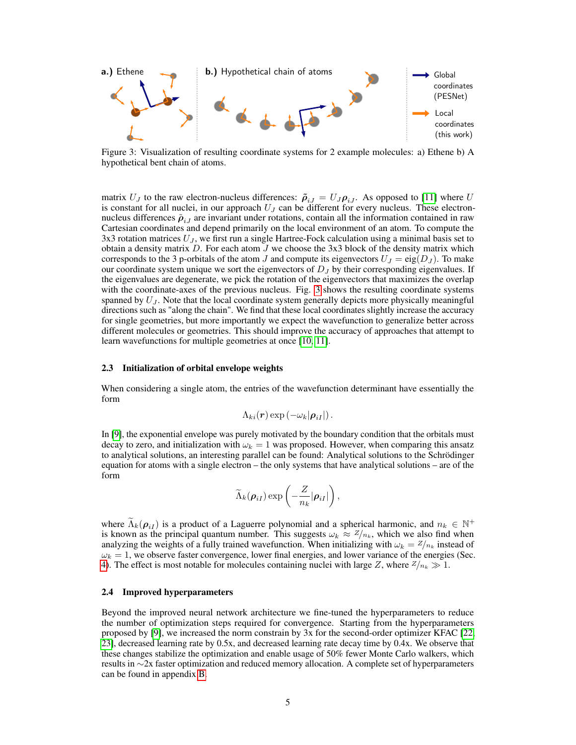<span id="page-4-0"></span>

Figure 3: Visualization of resulting coordinate systems for 2 example molecules: a) Ethene b) A hypothetical bent chain of atoms.

matrix  $U_J$  to the raw electron-nucleus differences:  $\tilde{\rho}_{iJ} = U_J \rho_{iJ}$ . As opposed to [\[11\]](#page-10-10) where U is constant for all nuclei, in our approach  $U_J$  can be different for every nucleus. These electronnucleus differences  $\tilde{\rho}_{i}$  are invariant under rotations, contain all the information contained in raw Cartesian coordinates and depend primarily on the local environment of an atom. To compute the 3x3 rotation matrices  $U_J$ , we first run a single Hartree-Fock calculation using a minimal basis set to obtain a density matrix  $D$ . For each atom  $J$  we choose the 3x3 block of the density matrix which corresponds to the 3 p-orbitals of the atom J and compute its eigenvectors  $U_J = eig(D_J)$ . To make our coordinate system unique we sort the eigenvectors of  $D<sub>J</sub>$  by their corresponding eigenvalues. If the eigenvalues are degenerate, we pick the rotation of the eigenvectors that maximizes the overlap with the coordinate-axes of the previous nucleus. Fig. [3](#page-4-0) shows the resulting coordinate systems spanned by  $U_J$ . Note that the local coordinate system generally depicts more physically meaningful directions such as "along the chain". We find that these local coordinates slightly increase the accuracy for single geometries, but more importantly we expect the wavefunction to generalize better across different molecules or geometries. This should improve the accuracy of approaches that attempt to learn wavefunctions for multiple geometries at once [\[10,](#page-10-9) [11\]](#page-10-10).

#### <span id="page-4-2"></span>2.3 Initialization of orbital envelope weights

When considering a single atom, the entries of the wavefunction determinant have essentially the form

$$
\Lambda_{ki}(\boldsymbol{r})\exp\left(-\omega_k|\boldsymbol{\rho}_{iI}|\right).
$$

In [\[9\]](#page-10-8), the exponential envelope was purely motivated by the boundary condition that the orbitals must decay to zero, and initialization with  $\omega_k = 1$  was proposed. However, when comparing this ansatz to analytical solutions, an interesting parallel can be found: Analytical solutions to the Schrödinger equation for atoms with a single electron – the only systems that have analytical solutions – are of the form

$$
\widetilde{\Lambda}_k(\boldsymbol{\rho}_{iI}) \exp\left(-\frac{Z}{n_k}|\boldsymbol{\rho}_{iI}|\right),\,
$$

where  $\widetilde{\Lambda}_{k}(\rho_{i\bar{i}})$  is a product of a Laguerre polynomial and a spherical harmonic, and  $n_k \in \mathbb{N}^+$ is known as the principal quantum number. This suggests  $\omega_k \approx Z/n_k$ , which we also find when analyzing the weights of a fully trained wavefunction. When initializing with  $\omega_k = Z_{nk}$  instead of  $\omega_k = 1$ , we observe faster convergence, lower final energies, and lower variance of the energies (Sec. [4\)](#page-6-0). The effect is most notable for molecules containing nuclei with large Z, where  $Z/n_k \gg 1$ .

#### <span id="page-4-1"></span>2.4 Improved hyperparameters

Beyond the improved neural network architecture we fine-tuned the hyperparameters to reduce the number of optimization steps required for convergence. Starting from the hyperparameters proposed by [\[9\]](#page-10-8), we increased the norm constrain by 3x for the second-order optimizer KFAC [\[22,](#page-11-5) [23\]](#page-11-6), decreased learning rate by 0.5x, and decreased learning rate decay time by 0.4x. We observe that these changes stabilize the optimization and enable usage of 50% fewer Monte Carlo walkers, which results in ∼2x faster optimization and reduced memory allocation. A complete set of hyperparameters can be found in appendix [B.](#page-13-0)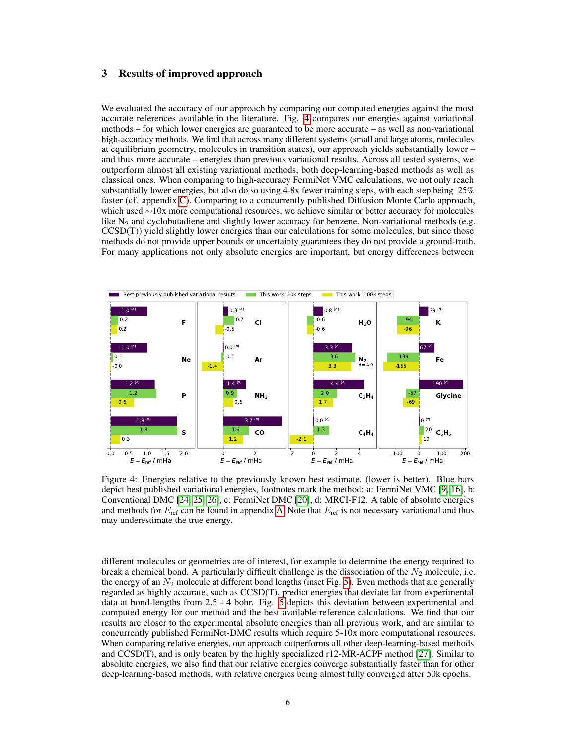#### <span id="page-5-0"></span>3 Results of improved approach

We evaluated the accuracy of our approach by comparing our computed energies against the most accurate references available in the literature. Fig. [4](#page-5-1) compares our energies against variational methods – for which lower energies are guaranteed to be more accurate – as well as non-variational high-accuracy methods. We find that across many different systems (small and large atoms, molecules at equilibrium geometry, molecules in transition states), our approach yields substantially lower – and thus more accurate – energies than previous variational results. Across all tested systems, we outperform almost all existing variational methods, both deep-learning-based methods as well as classical ones. When comparing to high-accuracy FermiNet VMC calculations, we not only reach substantially lower energies, but also do so using 4-8x fewer training steps, with each step being 25% faster (cf. appendix [C\)](#page-15-0). Comparing to a concurrently published Diffusion Monte Carlo approach, which used ∼10x more computational resources, we achieve similar or better accuracy for molecules like  $N_2$  and cyclobutadiene and slightly lower accuracy for benzene. Non-variational methods (e.g. CCSD(T)) yield slightly lower energies than our calculations for some molecules, but since those methods do not provide upper bounds or uncertainty guarantees they do not provide a ground-truth. For many applications not only absolute energies are important, but energy differences between

<span id="page-5-1"></span>

Figure 4: Energies relative to the previously known best estimate, (lower is better). Blue bars depict best published variational energies, footnotes mark the method: a: FermiNet VMC [\[9,](#page-10-8) [16\]](#page-10-15), b: Conventional DMC [\[24,](#page-11-7) [25,](#page-11-8) [26\]](#page-11-9), c: FermiNet DMC [\[20\]](#page-11-3), d: MRCI-F12. A table of absolute energies and methods for  $E_{\text{ref}}$  can be found in appendix [A.](#page-13-1) Note that  $E_{\text{ref}}$  is not necessary variational and thus may underestimate the true energy.

different molecules or geometries are of interest, for example to determine the energy required to break a chemical bond. A particularly difficult challenge is the dissociation of the  $N_2$  molecule, i.e. the energy of an  $N_2$  molecule at different bond lengths (inset Fig. [5\)](#page-6-1). Even methods that are generally regarded as highly accurate, such as CCSD(T), predict energies that deviate far from experimental data at bond-lengths from 2.5 - 4 bohr. Fig. [5](#page-6-1) depicts this deviation between experimental and computed energy for our method and the best available reference calculations. We find that our results are closer to the experimental absolute energies than all previous work, and are similar to concurrently published FermiNet-DMC results which require 5-10x more computational resources. When comparing relative energies, our approach outperforms all other deep-learning-based methods and CCSD(T), and is only beaten by the highly specialized r12-MR-ACPF method [\[27\]](#page-11-10). Similar to absolute energies, we also find that our relative energies converge substantially faster than for other deep-learning-based methods, with relative energies being almost fully converged after 50k epochs.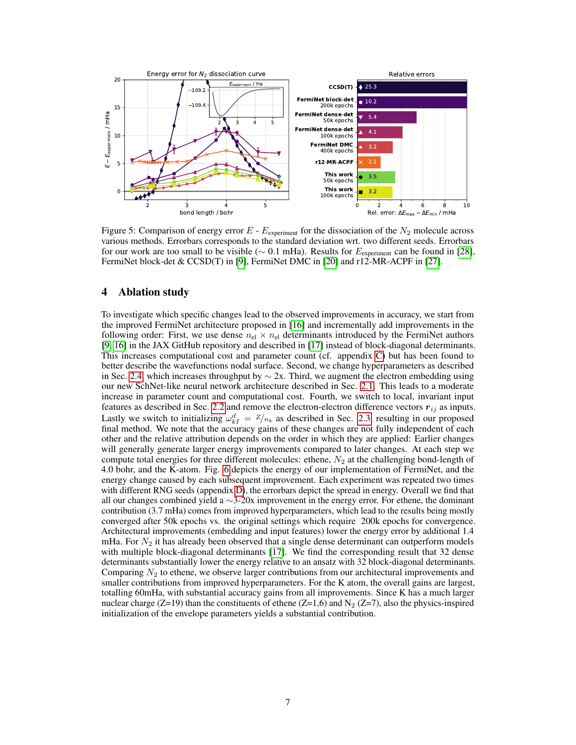<span id="page-6-1"></span>

Figure 5: Comparison of energy error  $E$  -  $E_{\text{experiment}}$  for the dissociation of the  $N_2$  molecule across various methods. Errorbars corresponds to the standard deviation wrt. two different seeds. Errorbars for our work are too small to be visible ( $\sim$  0.1 mHa). Results for  $E_{\text{experiment}}$  can be found in [\[28\]](#page-11-11), FermiNet block-det & CCSD(T) in [\[9\]](#page-10-8), FermiNet DMC in [\[20\]](#page-11-3) and r12-MR-ACPF in [\[27\]](#page-11-10).

### <span id="page-6-0"></span>4 Ablation study

To investigate which specific changes lead to the observed improvements in accuracy, we start from the improved FermiNet architecture proposed in [\[16\]](#page-10-15) and incrementally add improvements in the following order: First, we use dense  $n_{el} \times n_{el}$  determinants introduced by the FermiNet authors [\[9,](#page-10-8) [16\]](#page-10-15) in the JAX GitHub repository and described in [\[17\]](#page-11-0) instead of block-diagonal determinants. This increases computational cost and parameter count (cf. appendix [C\)](#page-15-0) but has been found to better describe the wavefunctions nodal surface. Second, we change hyperparameters as described in Sec. [2.4,](#page-4-1) which increases throughput by  $\sim$  2x. Third, we augment the electron embedding using our new SchNet-like neural network architecture described in Sec. [2.1.](#page-2-1) This leads to a moderate increase in parameter count and computational cost. Fourth, we switch to local, invariant input features as described in Sec. [2.2](#page-3-1) and remove the electron-electron difference vectors  $r_{ij}$  as inputs. Lastly we switch to initializing  $\omega_{kI}^d = \frac{Z}{n_k}$  as described in Sec. [2.3,](#page-4-2) resulting in our proposed final method. We note that the accuracy gains of these changes are not fully independent of each other and the relative attribution depends on the order in which they are applied: Earlier changes will generally generate larger energy improvements compared to later changes. At each step we compute total energies for three different molecules: ethene,  $N_2$  at the challenging bond-length of 4.0 bohr, and the K-atom. Fig. [6](#page-7-1) depicts the energy of our implementation of FermiNet, and the energy change caused by each subsequent improvement. Each experiment was repeated two times with different RNG seeds (appendix [D\)](#page-15-1), the errorbars depict the spread in energy. Overall we find that all our changes combined yield a  $\sim$ 3-20x improvement in the energy error. For ethene, the dominant contribution (3.7 mHa) comes from improved hyperparameters, which lead to the results being mostly converged after 50k epochs vs. the original settings which require 200k epochs for convergence. Architectural improvements (embedding and input features) lower the energy error by additional 1.4 mHa. For  $N_2$  it has already been observed that a single dense determinant can outperform models with multiple block-diagonal determinants [\[17\]](#page-11-0). We find the corresponding result that 32 dense determinants substantially lower the energy relative to an ansatz with 32 block-diagonal determinants. Comparing  $N_2$  to ethene, we observe larger contributions from our architectural improvements and smaller contributions from improved hyperparameters. For the K atom, the overall gains are largest, totalling 60mHa, with substantial accuracy gains from all improvements. Since K has a much larger nuclear charge (Z=19) than the constituents of ethene (Z=1,6) and N<sub>2</sub> (Z=7), also the physics-inspired initialization of the envelope parameters yields a substantial contribution.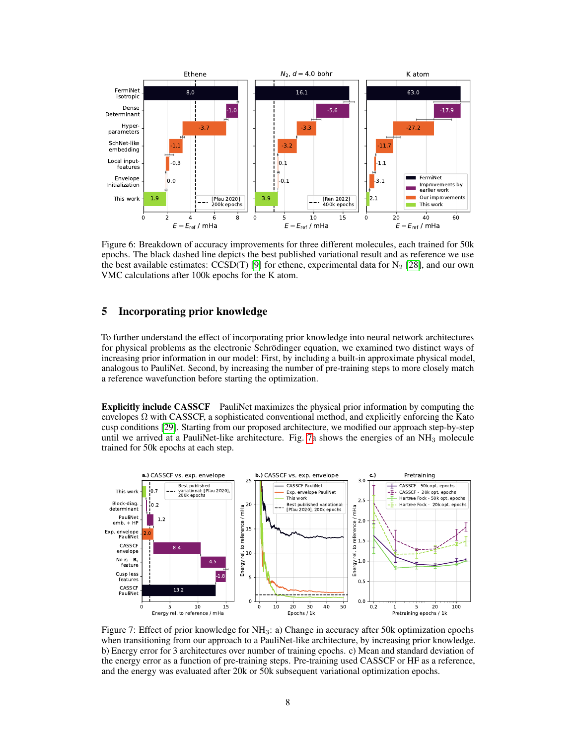<span id="page-7-1"></span>

Figure 6: Breakdown of accuracy improvements for three different molecules, each trained for 50k epochs. The black dashed line depicts the best published variational result and as reference we use the best available estimates:  $CCSD(T)$  [\[9\]](#page-10-8) for ethene, experimental data for  $N_2$  [\[28\]](#page-11-11), and our own VMC calculations after 100k epochs for the K atom.

## <span id="page-7-0"></span>5 Incorporating prior knowledge

To further understand the effect of incorporating prior knowledge into neural network architectures for physical problems as the electronic Schrödinger equation, we examined two distinct ways of increasing prior information in our model: First, by including a built-in approximate physical model, analogous to PauliNet. Second, by increasing the number of pre-training steps to more closely match a reference wavefunction before starting the optimization.

Explicitly include CASSCF PauliNet maximizes the physical prior information by computing the envelopes  $\Omega$  with CASSCF, a sophisticated conventional method, and explicitly enforcing the Kato cusp conditions [\[29\]](#page-11-12). Starting from our proposed architecture, we modified our approach step-by-step until we arrived at a PauliNet-like architecture. Fig. [7a](#page-7-2) shows the energies of an  $NH<sub>3</sub>$  molecule trained for 50k epochs at each step.

<span id="page-7-2"></span>

Figure 7: Effect of prior knowledge for  $NH<sub>3</sub>$ : a) Change in accuracy after 50k optimization epochs when transitioning from our approach to a PauliNet-like architecture, by increasing prior knowledge. b) Energy error for 3 architectures over number of training epochs. c) Mean and standard deviation of the energy error as a function of pre-training steps. Pre-training used CASSCF or HF as a reference, and the energy was evaluated after 20k or 50k subsequent variational optimization epochs.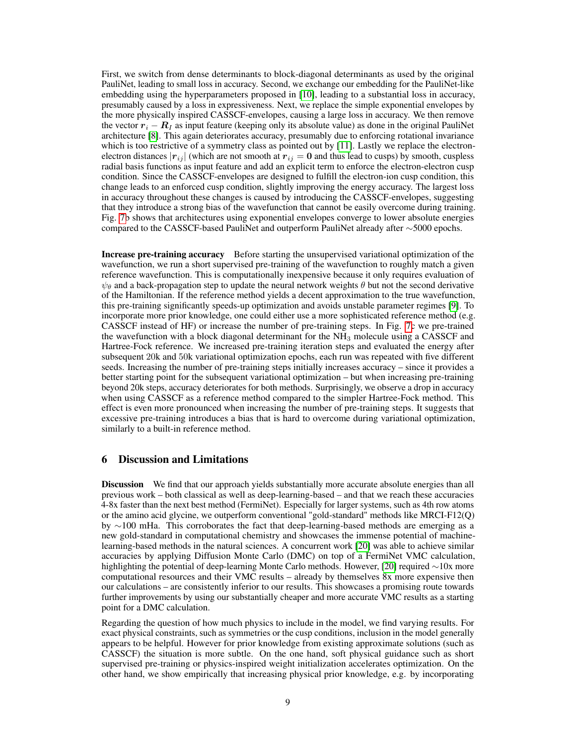First, we switch from dense determinants to block-diagonal determinants as used by the original PauliNet, leading to small loss in accuracy. Second, we exchange our embedding for the PauliNet-like embedding using the hyperparameters proposed in [\[10\]](#page-10-9), leading to a substantial loss in accuracy, presumably caused by a loss in expressiveness. Next, we replace the simple exponential envelopes by the more physically inspired CASSCF-envelopes, causing a large loss in accuracy. We then remove the vector  $r_i - R_I$  as input feature (keeping only its absolute value) as done in the original PauliNet architecture [\[8\]](#page-10-7). This again deteriorates accuracy, presumably due to enforcing rotational invariance which is too restrictive of a symmetry class as pointed out by [\[11\]](#page-10-10). Lastly we replace the electronelectron distances  $|r_{ij}|$  (which are not smooth at  $r_{ij} = 0$  and thus lead to cusps) by smooth, cuspless radial basis functions as input feature and add an explicit term to enforce the electron-electron cusp condition. Since the CASSCF-envelopes are designed to fulfill the electron-ion cusp condition, this change leads to an enforced cusp condition, slightly improving the energy accuracy. The largest loss in accuracy throughout these changes is caused by introducing the CASSCF-envelopes, suggesting that they introduce a strong bias of the wavefunction that cannot be easily overcome during training. Fig. [7b](#page-7-2) shows that architectures using exponential envelopes converge to lower absolute energies compared to the CASSCF-based PauliNet and outperform PauliNet already after ∼5000 epochs.

Increase pre-training accuracy Before starting the unsupervised variational optimization of the wavefunction, we run a short supervised pre-training of the wavefunction to roughly match a given reference wavefunction. This is computationally inexpensive because it only requires evaluation of  $\psi_{\theta}$  and a back-propagation step to update the neural network weights  $\theta$  but not the second derivative of the Hamiltonian. If the reference method yields a decent approximation to the true wavefunction, this pre-training significantly speeds-up optimization and avoids unstable parameter regimes [\[9\]](#page-10-8). To incorporate more prior knowledge, one could either use a more sophisticated reference method (e.g. CASSCF instead of HF) or increase the number of pre-training steps. In Fig. [7c](#page-7-2) we pre-trained the wavefunction with a block diagonal determinant for the  $NH<sub>3</sub>$  molecule using a CASSCF and Hartree-Fock reference. We increased pre-training iteration steps and evaluated the energy after subsequent 20k and 50k variational optimization epochs, each run was repeated with five different seeds. Increasing the number of pre-training steps initially increases accuracy – since it provides a better starting point for the subsequent variational optimization – but when increasing pre-training beyond 20k steps, accuracy deteriorates for both methods. Surprisingly, we observe a drop in accuracy when using CASSCF as a reference method compared to the simpler Hartree-Fock method. This effect is even more pronounced when increasing the number of pre-training steps. It suggests that excessive pre-training introduces a bias that is hard to overcome during variational optimization, similarly to a built-in reference method.

#### 6 Discussion and Limitations

**Discussion** We find that our approach yields substantially more accurate absolute energies than all previous work – both classical as well as deep-learning-based – and that we reach these accuracies 4-8x faster than the next best method (FermiNet). Especially for larger systems, such as 4th row atoms or the amino acid glycine, we outperform conventional "gold-standard" methods like MRCI-F12(Q) by ∼100 mHa. This corroborates the fact that deep-learning-based methods are emerging as a new gold-standard in computational chemistry and showcases the immense potential of machinelearning-based methods in the natural sciences. A concurrent work [\[20\]](#page-11-3) was able to achieve similar accuracies by applying Diffusion Monte Carlo (DMC) on top of a FermiNet VMC calculation, highlighting the potential of deep-learning Monte Carlo methods. However, [\[20\]](#page-11-3) required ∼10x more computational resources and their VMC results – already by themselves 8x more expensive then our calculations – are consistently inferior to our results. This showcases a promising route towards further improvements by using our substantially cheaper and more accurate VMC results as a starting point for a DMC calculation.

Regarding the question of how much physics to include in the model, we find varying results. For exact physical constraints, such as symmetries or the cusp conditions, inclusion in the model generally appears to be helpful. However for prior knowledge from existing approximate solutions (such as CASSCF) the situation is more subtle. On the one hand, soft physical guidance such as short supervised pre-training or physics-inspired weight initialization accelerates optimization. On the other hand, we show empirically that increasing physical prior knowledge, e.g. by incorporating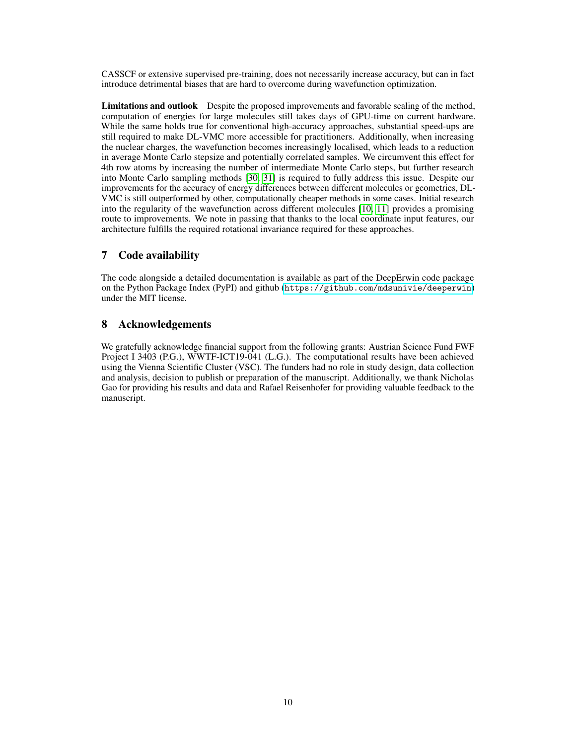CASSCF or extensive supervised pre-training, does not necessarily increase accuracy, but can in fact introduce detrimental biases that are hard to overcome during wavefunction optimization.

Limitations and outlook Despite the proposed improvements and favorable scaling of the method, computation of energies for large molecules still takes days of GPU-time on current hardware. While the same holds true for conventional high-accuracy approaches, substantial speed-ups are still required to make DL-VMC more accessible for practitioners. Additionally, when increasing the nuclear charges, the wavefunction becomes increasingly localised, which leads to a reduction in average Monte Carlo stepsize and potentially correlated samples. We circumvent this effect for 4th row atoms by increasing the number of intermediate Monte Carlo steps, but further research into Monte Carlo sampling methods [\[30,](#page-11-13) [31\]](#page-11-14) is required to fully address this issue. Despite our improvements for the accuracy of energy differences between different molecules or geometries, DL-VMC is still outperformed by other, computationally cheaper methods in some cases. Initial research into the regularity of the wavefunction across different molecules [\[10,](#page-10-9) [11\]](#page-10-10) provides a promising route to improvements. We note in passing that thanks to the local coordinate input features, our architecture fulfills the required rotational invariance required for these approaches.

# 7 Code availability

The code alongside a detailed documentation is available as part of the DeepErwin code package on the Python Package Index (PyPI) and github (<https://github.com/mdsunivie/deeperwin>) under the MIT license.

# 8 Acknowledgements

We gratefully acknowledge financial support from the following grants: Austrian Science Fund FWF Project I 3403 (P.G.), WWTF-ICT19-041 (L.G.). The computational results have been achieved using the Vienna Scientific Cluster (VSC). The funders had no role in study design, data collection and analysis, decision to publish or preparation of the manuscript. Additionally, we thank Nicholas Gao for providing his results and data and Rafael Reisenhofer for providing valuable feedback to the manuscript.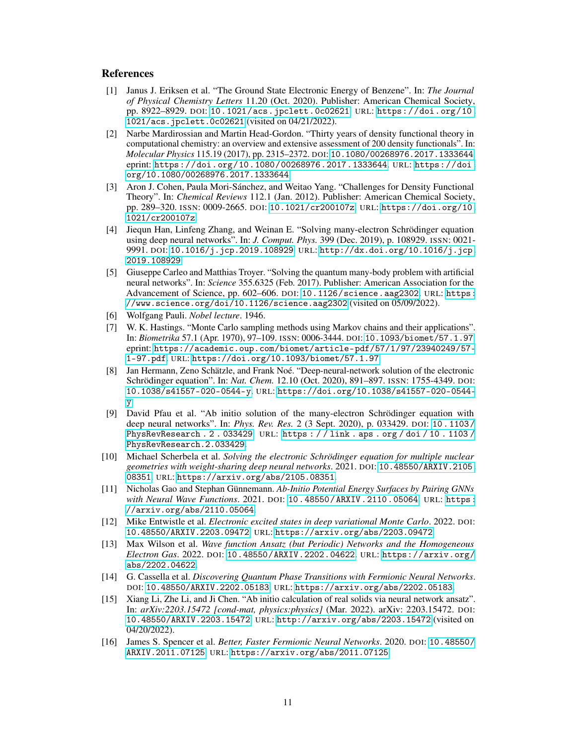#### References

- <span id="page-10-0"></span>[1] Janus J. Eriksen et al. "The Ground State Electronic Energy of Benzene". In: *The Journal of Physical Chemistry Letters* 11.20 (Oct. 2020). Publisher: American Chemical Society, pp. 8922–8929. DOI: [10.1021/acs.jpclett.0c02621](https://doi.org/10.1021/acs.jpclett.0c02621). URL: [https://doi.org/10.](https://doi.org/10.1021/acs.jpclett.0c02621) [1021/acs.jpclett.0c02621](https://doi.org/10.1021/acs.jpclett.0c02621) (visited on 04/21/2022).
- <span id="page-10-1"></span>[2] Narbe Mardirossian and Martin Head-Gordon. "Thirty years of density functional theory in computational chemistry: an overview and extensive assessment of 200 density functionals". In: *Molecular Physics* 115.19 (2017), pp. 2315–2372. DOI: [10.1080/00268976.2017.1333644](https://doi.org/10.1080/00268976.2017.1333644). eprint: <https://doi.org/10.1080/00268976.2017.1333644>. URL: [https://doi.](https://doi.org/10.1080/00268976.2017.1333644) [org/10.1080/00268976.2017.1333644](https://doi.org/10.1080/00268976.2017.1333644).
- <span id="page-10-2"></span>[3] Aron J. Cohen, Paula Mori-Sánchez, and Weitao Yang. "Challenges for Density Functional Theory". In: *Chemical Reviews* 112.1 (Jan. 2012). Publisher: American Chemical Society, pp. 289–320. ISSN: 0009-2665. DOI: [10.1021/cr200107z](https://doi.org/10.1021/cr200107z). URL: [https://doi.org/10.](https://doi.org/10.1021/cr200107z) [1021/cr200107z](https://doi.org/10.1021/cr200107z).
- <span id="page-10-3"></span>[4] Jiequn Han, Linfeng Zhang, and Weinan E. "Solving many-electron Schrödinger equation using deep neural networks". In: *J. Comput. Phys.* 399 (Dec. 2019), p. 108929. ISSN: 0021- 9991. DOI: [10.1016/j.jcp.2019.108929](https://doi.org/10.1016/j.jcp.2019.108929). URL: [http://dx.doi.org/10.1016/j.jcp.](http://dx.doi.org/10.1016/j.jcp.2019.108929) [2019.108929](http://dx.doi.org/10.1016/j.jcp.2019.108929).
- <span id="page-10-4"></span>[5] Giuseppe Carleo and Matthias Troyer. "Solving the quantum many-body problem with artificial neural networks". In: *Science* 355.6325 (Feb. 2017). Publisher: American Association for the Advancement of Science, pp. 602–606. DOI: [10.1126/science.aag2302](https://doi.org/10.1126/science.aag2302). URL: [https:](https://www.science.org/doi/10.1126/science.aag2302) [//www.science.org/doi/10.1126/science.aag2302](https://www.science.org/doi/10.1126/science.aag2302) (visited on 05/09/2022).
- <span id="page-10-5"></span>[6] Wolfgang Pauli. *Nobel lecture*. 1946.
- <span id="page-10-6"></span>[7] W. K. Hastings. "Monte Carlo sampling methods using Markov chains and their applications". In: *Biometrika* 57.1 (Apr. 1970), 97–109. ISSN: 0006-3444. DOI: [10.1093/biomet/57.1.97](https://doi.org/10.1093/biomet/57.1.97). eprint: [https://academic.oup.com/biomet/article-pdf/57/1/97/23940249/57-](https://academic.oup.com/biomet/article-pdf/57/1/97/23940249/57-1-97.pdf) [1-97.pdf](https://academic.oup.com/biomet/article-pdf/57/1/97/23940249/57-1-97.pdf). URL: <https://doi.org/10.1093/biomet/57.1.97>.
- <span id="page-10-7"></span>[8] Jan Hermann, Zeno Schätzle, and Frank Noé. "Deep-neural-network solution of the electronic Schrödinger equation". In: *Nat. Chem.* 12.10 (Oct. 2020), 891–897. ISSN: 1755-4349. DOI: [10.1038/s41557-020-0544-y](https://doi.org/10.1038/s41557-020-0544-y). URL: [https://doi.org/10.1038/s41557-020-0544](https://doi.org/10.1038/s41557-020-0544-y) [y](https://doi.org/10.1038/s41557-020-0544-y).
- <span id="page-10-8"></span>[9] David Pfau et al. "Ab initio solution of the many-electron Schrödinger equation with deep neural networks". In: *Phys. Rev. Res.* 2 (3 Sept. 2020), p. 033429. DOI: [10 . 1103 /](https://doi.org/10.1103/PhysRevResearch.2.033429) [PhysRevResearch . 2 . 033429](https://doi.org/10.1103/PhysRevResearch.2.033429). URL: [https : / / link . aps . org / doi / 10 . 1103 /](https://link.aps.org/doi/10.1103/PhysRevResearch.2.033429) [PhysRevResearch.2.033429](https://link.aps.org/doi/10.1103/PhysRevResearch.2.033429).
- <span id="page-10-9"></span>[10] Michael Scherbela et al. *Solving the electronic Schrödinger equation for multiple nuclear geometries with weight-sharing deep neural networks*. 2021. DOI: [10.48550/ARXIV.2105.](https://doi.org/10.48550/ARXIV.2105.08351) [08351](https://doi.org/10.48550/ARXIV.2105.08351). URL: <https://arxiv.org/abs/2105.08351>.
- <span id="page-10-10"></span>[11] Nicholas Gao and Stephan Günnemann. *Ab-Initio Potential Energy Surfaces by Pairing GNNs with Neural Wave Functions*. 2021. DOI: [10.48550/ARXIV.2110.05064](https://doi.org/10.48550/ARXIV.2110.05064). URL: [https:](https://arxiv.org/abs/2110.05064) [//arxiv.org/abs/2110.05064](https://arxiv.org/abs/2110.05064).
- <span id="page-10-11"></span>[12] Mike Entwistle et al. *Electronic excited states in deep variational Monte Carlo*. 2022. DOI: [10.48550/ARXIV.2203.09472](https://doi.org/10.48550/ARXIV.2203.09472). URL: <https://arxiv.org/abs/2203.09472>.
- <span id="page-10-12"></span>[13] Max Wilson et al. *Wave function Ansatz (but Periodic) Networks and the Homogeneous Electron Gas*. 2022. DOI: [10.48550/ARXIV.2202.04622](https://doi.org/10.48550/ARXIV.2202.04622). URL: [https://arxiv.org/](https://arxiv.org/abs/2202.04622) [abs/2202.04622](https://arxiv.org/abs/2202.04622).
- <span id="page-10-13"></span>[14] G. Cassella et al. *Discovering Quantum Phase Transitions with Fermionic Neural Networks*. DOI: [10.48550/ARXIV.2202.05183](https://doi.org/10.48550/ARXIV.2202.05183). URL: <https://arxiv.org/abs/2202.05183>.
- <span id="page-10-14"></span>[15] Xiang Li, Zhe Li, and Ji Chen. "Ab initio calculation of real solids via neural network ansatz". In: *arXiv:2203.15472 [cond-mat, physics:physics]* (Mar. 2022). arXiv: 2203.15472. DOI: [10.48550/ARXIV.2203.15472](https://doi.org/10.48550/ARXIV.2203.15472). URL: <http://arxiv.org/abs/2203.15472> (visited on 04/20/2022).
- <span id="page-10-15"></span>[16] James S. Spencer et al. *Better, Faster Fermionic Neural Networks*. 2020. DOI: [10.48550/](https://doi.org/10.48550/ARXIV.2011.07125) [ARXIV.2011.07125](https://doi.org/10.48550/ARXIV.2011.07125). URL: <https://arxiv.org/abs/2011.07125>.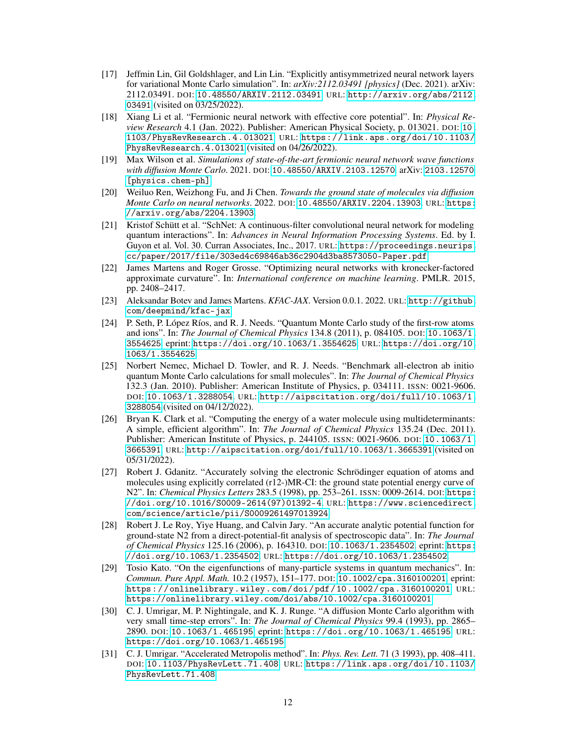- <span id="page-11-0"></span>[17] Jeffmin Lin, Gil Goldshlager, and Lin Lin. "Explicitly antisymmetrized neural network layers for variational Monte Carlo simulation". In: *arXiv:2112.03491 [physics]* (Dec. 2021). arXiv: 2112.03491. DOI: [10.48550/ARXIV.2112.03491](https://doi.org/10.48550/ARXIV.2112.03491). URL: [http://arxiv.org/abs/2112.](http://arxiv.org/abs/2112.03491) [03491](http://arxiv.org/abs/2112.03491) (visited on 03/25/2022).
- <span id="page-11-1"></span>[18] Xiang Li et al. "Fermionic neural network with effective core potential". In: *Physical Review Research* 4.1 (Jan. 2022). Publisher: American Physical Society, p. 013021. DOI: [10.](https://doi.org/10.1103/PhysRevResearch.4.013021) [1103/PhysRevResearch.4.013021](https://doi.org/10.1103/PhysRevResearch.4.013021). URL: [https://link.aps.org/doi/10.1103/](https://link.aps.org/doi/10.1103/PhysRevResearch.4.013021) [PhysRevResearch.4.013021](https://link.aps.org/doi/10.1103/PhysRevResearch.4.013021) (visited on 04/26/2022).
- <span id="page-11-2"></span>[19] Max Wilson et al. *Simulations of state-of-the-art fermionic neural network wave functions with diffusion Monte Carlo*. 2021. DOI: [10.48550/ARXIV.2103.12570](https://doi.org/10.48550/ARXIV.2103.12570). arXiv: [2103.12570](https://arxiv.org/abs/2103.12570) [\[physics.chem-ph\]](https://arxiv.org/abs/2103.12570).
- <span id="page-11-3"></span>[20] Weiluo Ren, Weizhong Fu, and Ji Chen. *Towards the ground state of molecules via diffusion Monte Carlo on neural networks*. 2022. DOI: [10.48550/ARXIV.2204.13903](https://doi.org/10.48550/ARXIV.2204.13903). URL: [https:](https://arxiv.org/abs/2204.13903) [//arxiv.org/abs/2204.13903](https://arxiv.org/abs/2204.13903).
- <span id="page-11-4"></span>[21] Kristof Schütt et al. "SchNet: A continuous-filter convolutional neural network for modeling quantum interactions". In: *Advances in Neural Information Processing Systems*. Ed. by I. Guyon et al. Vol. 30. Curran Associates, Inc., 2017. URL: [https://proceedings.neurips.](https://proceedings.neurips.cc/paper/2017/file/303ed4c69846ab36c2904d3ba8573050-Paper.pdf) [cc/paper/2017/file/303ed4c69846ab36c2904d3ba8573050-Paper.pdf](https://proceedings.neurips.cc/paper/2017/file/303ed4c69846ab36c2904d3ba8573050-Paper.pdf).
- <span id="page-11-5"></span>[22] James Martens and Roger Grosse. "Optimizing neural networks with kronecker-factored approximate curvature". In: *International conference on machine learning*. PMLR. 2015, pp. 2408–2417.
- <span id="page-11-6"></span>[23] Aleksandar Botev and James Martens. *KFAC-JAX*. Version 0.0.1. 2022. URL: [http://github.](http://github.com/deepmind/kfac-jax) [com/deepmind/kfac-jax](http://github.com/deepmind/kfac-jax).
- <span id="page-11-7"></span>[24] P. Seth, P. López Ríos, and R. J. Needs. "Quantum Monte Carlo study of the first-row atoms and ions". In: *The Journal of Chemical Physics* 134.8 (2011), p. 084105. DOI: [10.1063/1.](https://doi.org/10.1063/1.3554625) [3554625](https://doi.org/10.1063/1.3554625). eprint: <https://doi.org/10.1063/1.3554625>. URL: [https://doi.org/10.](https://doi.org/10.1063/1.3554625) [1063/1.3554625](https://doi.org/10.1063/1.3554625).
- <span id="page-11-8"></span>[25] Norbert Nemec, Michael D. Towler, and R. J. Needs. "Benchmark all-electron ab initio quantum Monte Carlo calculations for small molecules". In: *The Journal of Chemical Physics* 132.3 (Jan. 2010). Publisher: American Institute of Physics, p. 034111. ISSN: 0021-9606. DOI: [10.1063/1.3288054](https://doi.org/10.1063/1.3288054). URL: [http://aipscitation.org/doi/full/10.1063/1.](http://aipscitation.org/doi/full/10.1063/1.3288054) [3288054](http://aipscitation.org/doi/full/10.1063/1.3288054) (visited on 04/12/2022).
- <span id="page-11-9"></span>[26] Bryan K. Clark et al. "Computing the energy of a water molecule using multideterminants: A simple, efficient algorithm". In: *The Journal of Chemical Physics* 135.24 (Dec. 2011). Publisher: American Institute of Physics, p. 244105. ISSN: 0021-9606. DOI: [10.1063/1.](https://doi.org/10.1063/1.3665391) [3665391](https://doi.org/10.1063/1.3665391). URL: <http://aipscitation.org/doi/full/10.1063/1.3665391> (visited on 05/31/2022).
- <span id="page-11-10"></span>[27] Robert J. Gdanitz. "Accurately solving the electronic Schrödinger equation of atoms and molecules using explicitly correlated (r12-)MR-CI: the ground state potential energy curve of N2". In: *Chemical Physics Letters* 283.5 (1998), pp. 253–261. ISSN: 0009-2614. DOI: [https:](https://doi.org/https://doi.org/10.1016/S0009-2614(97)01392-4) [//doi.org/10.1016/S0009-2614\(97\)01392-4](https://doi.org/https://doi.org/10.1016/S0009-2614(97)01392-4). URL: [https://www.sciencedirect.](https://www.sciencedirect.com/science/article/pii/S0009261497013924) [com/science/article/pii/S0009261497013924](https://www.sciencedirect.com/science/article/pii/S0009261497013924).
- <span id="page-11-11"></span>[28] Robert J. Le Roy, Yiye Huang, and Calvin Jary. "An accurate analytic potential function for ground-state N2 from a direct-potential-fit analysis of spectroscopic data". In: *The Journal of Chemical Physics* 125.16 (2006), p. 164310. DOI: [10.1063/1.2354502](https://doi.org/10.1063/1.2354502). eprint: [https:](https://doi.org/10.1063/1.2354502) [//doi.org/10.1063/1.2354502](https://doi.org/10.1063/1.2354502). URL: <https://doi.org/10.1063/1.2354502>.
- <span id="page-11-12"></span>[29] Tosio Kato. "On the eigenfunctions of many-particle systems in quantum mechanics". In: *Commun. Pure Appl. Math.* 10.2 (1957), 151–177. DOI: [10.1002/cpa.3160100201](https://doi.org/10.1002/cpa.3160100201). eprint: <https://onlinelibrary.wiley.com/doi/pdf/10.1002/cpa.3160100201>. URL: <https://onlinelibrary.wiley.com/doi/abs/10.1002/cpa.3160100201>.
- <span id="page-11-13"></span>[30] C. J. Umrigar, M. P. Nightingale, and K. J. Runge. "A diffusion Monte Carlo algorithm with very small time-step errors". In: *The Journal of Chemical Physics* 99.4 (1993), pp. 2865– 2890. DOI: [10.1063/1.465195](https://doi.org/10.1063/1.465195). eprint: <https://doi.org/10.1063/1.465195>. URL: <https://doi.org/10.1063/1.465195>.
- <span id="page-11-14"></span>[31] C. J. Umrigar. "Accelerated Metropolis method". In: *Phys. Rev. Lett.* 71 (3 1993), pp. 408–411. DOI: [10.1103/PhysRevLett.71.408](https://doi.org/10.1103/PhysRevLett.71.408). URL: [https://link.aps.org/doi/10.1103/](https://link.aps.org/doi/10.1103/PhysRevLett.71.408) [PhysRevLett.71.408](https://link.aps.org/doi/10.1103/PhysRevLett.71.408).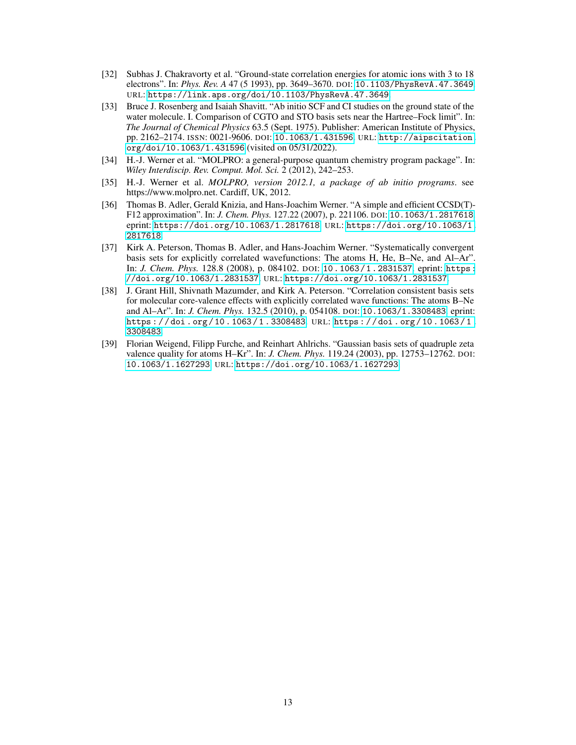- <span id="page-12-0"></span>[32] Subhas J. Chakravorty et al. "Ground-state correlation energies for atomic ions with 3 to 18 electrons". In: *Phys. Rev. A* 47 (5 1993), pp. 3649–3670. DOI: [10.1103/PhysRevA.47.3649](https://doi.org/10.1103/PhysRevA.47.3649). URL: <https://link.aps.org/doi/10.1103/PhysRevA.47.3649>.
- <span id="page-12-1"></span>[33] Bruce J. Rosenberg and Isaiah Shavitt. "Ab initio SCF and CI studies on the ground state of the water molecule. I. Comparison of CGTO and STO basis sets near the Hartree–Fock limit". In: *The Journal of Chemical Physics* 63.5 (Sept. 1975). Publisher: American Institute of Physics, pp. 2162–2174. ISSN: 0021-9606. DOI: [10.1063/1.431596](https://doi.org/10.1063/1.431596). URL: [http://aipscitation.](http://aipscitation.org/doi/10.1063/1.431596) [org/doi/10.1063/1.431596](http://aipscitation.org/doi/10.1063/1.431596) (visited on 05/31/2022).
- <span id="page-12-2"></span>[34] H.-J. Werner et al. "MOLPRO: a general-purpose quantum chemistry program package". In: *Wiley Interdiscip. Rev. Comput. Mol. Sci.* 2 (2012), 242–253.
- <span id="page-12-3"></span>[35] H.-J. Werner et al. *MOLPRO, version 2012.1, a package of ab initio programs*. see https://www.molpro.net. Cardiff, UK, 2012.
- <span id="page-12-4"></span>[36] Thomas B. Adler, Gerald Knizia, and Hans-Joachim Werner. "A simple and efficient CCSD(T)- F12 approximation". In: *J. Chem. Phys.* 127.22 (2007), p. 221106. DOI: [10.1063/1.2817618](https://doi.org/10.1063/1.2817618). eprint: <https://doi.org/10.1063/1.2817618>. URL: [https://doi.org/10.1063/1.](https://doi.org/10.1063/1.2817618) [2817618](https://doi.org/10.1063/1.2817618).
- <span id="page-12-5"></span>[37] Kirk A. Peterson, Thomas B. Adler, and Hans-Joachim Werner. "Systematically convergent basis sets for explicitly correlated wavefunctions: The atoms H, He, B–Ne, and Al–Ar". In: *J. Chem. Phys.* 128.8 (2008), p. 084102. DOI: [10.1063/1.2831537](https://doi.org/10.1063/1.2831537). eprint: [https:](https://doi.org/10.1063/1.2831537) [//doi.org/10.1063/1.2831537](https://doi.org/10.1063/1.2831537). URL: <https://doi.org/10.1063/1.2831537>.
- <span id="page-12-6"></span>[38] J. Grant Hill, Shivnath Mazumder, and Kirk A. Peterson. "Correlation consistent basis sets for molecular core-valence effects with explicitly correlated wave functions: The atoms B–Ne and Al–Ar". In: *J. Chem. Phys.* 132.5 (2010), p. 054108. DOI: [10.1063/1.3308483](https://doi.org/10.1063/1.3308483). eprint: [https : / / doi . org / 10 . 1063 / 1 . 3308483](https://doi.org/10.1063/1.3308483). URL: [https : / / doi . org / 10 . 1063 / 1 .](https://doi.org/10.1063/1.3308483) [3308483](https://doi.org/10.1063/1.3308483).
- <span id="page-12-7"></span>[39] Florian Weigend, Filipp Furche, and Reinhart Ahlrichs. "Gaussian basis sets of quadruple zeta valence quality for atoms H–Kr". In: *J. Chem. Phys.* 119.24 (2003), pp. 12753–12762. DOI: [10.1063/1.1627293](https://doi.org/10.1063/1.1627293). URL: <https://doi.org/10.1063/1.1627293>.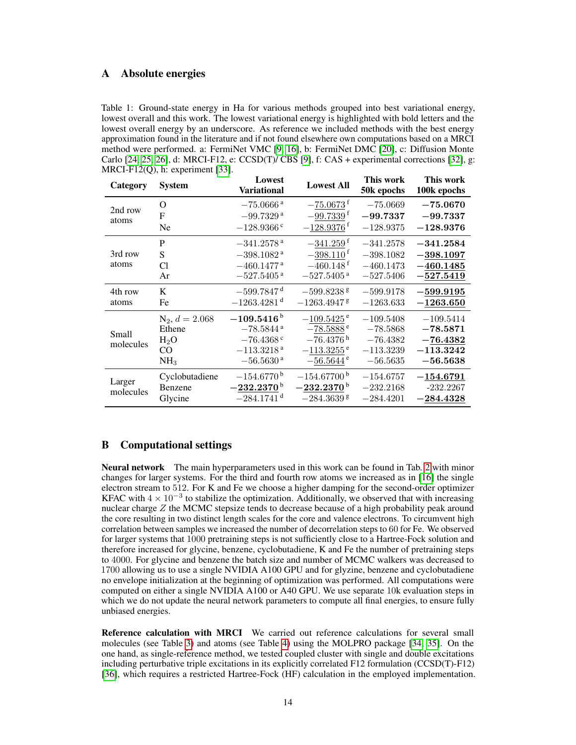## <span id="page-13-1"></span>A Absolute energies

Table 1: Ground-state energy in Ha for various methods grouped into best variational energy, lowest overall and this work. The lowest variational energy is highlighted with bold letters and the lowest overall energy by an underscore. As reference we included methods with the best energy approximation found in the literature and if not found elsewhere own computations based on a MRCI method were performed. a: FermiNet VMC [\[9,](#page-10-8) [16\]](#page-10-15), b: FermiNet DMC [\[20\]](#page-11-3), c: Diffusion Monte Carlo [\[24,](#page-11-7) [25,](#page-11-8) [26\]](#page-11-9), d: MRCI-F12, e: CCSD(T)/ CBS [\[9\]](#page-10-8), f: CAS + experimental corrections [\[32\]](#page-12-0), g: MRCI-F12(Q), h: experiment [\[33\]](#page-12-1).

| Category            | <b>System</b>    | Lowest<br><b>Variational</b> | <b>Lowest All</b>         | This work<br>50k epochs | This work<br>100k epochs |
|---------------------|------------------|------------------------------|---------------------------|-------------------------|--------------------------|
| 2nd row<br>atoms    | O                | $-75.0666$ <sup>a</sup>      | $-75.0673$ <sup>f</sup>   | $-75.0669$              | $-75.0670$               |
|                     | F                | $-99.7329$ <sup>a</sup>      | $-99.7339$ <sup>f</sup>   | $-99.7337$              | $-99.7337$               |
|                     | Ne               | $-128.9366$ <sup>c</sup>     | $-128.9376$ <sup>f</sup>  | $-128.9375$             | $-128.9376$              |
|                     | P                | $-341.2578$ <sup>a</sup>     | $-341.259$ <sup>f</sup>   | $-341.2578$             | $-341.2584$              |
| 3rd row             | S                | $-398.1082$ <sup>a</sup>     | $-398.110f$               | $-398.1082$             | $-398.1097$              |
| atoms               | Cl               | $-460.1477$ <sup>a</sup>     | $-460.148$ <sup>t</sup>   | $-460.1473$             | $-460.1485$              |
|                     | Ar               | $-527.5405$ <sup>a</sup>     | $-527.5405$ <sup>a</sup>  | $-527.5406$             | $-527.5419$              |
| 4th row<br>atoms    | K                | $-599.7847$ <sup>d</sup>     | $-599.8238$ <sup>g</sup>  | $-599.9178$             | $-599.9195$              |
|                     | Fe               | $-1263.4281$ <sup>d</sup>    | $-1263.4947$ <sup>g</sup> | $-1263.633$             | $-1263.650$              |
| Small<br>molecules  | $N_2, d = 2.068$ | $-109.5416^{\,b}$            | $-109.5425$ <sup>e</sup>  | $-109.5408$             | $-109.5414$              |
|                     | Ethene           | $-78.5844$ <sup>a</sup>      | $-78.5888$ <sup>e</sup>   | $-78.5868$              | $-78.5871$               |
|                     | $H_2O$           | $-76.4368$ <sup>c</sup>      | $-76.4376h$               | $-76.4382$              | $-76.4382$               |
|                     | CO               | $-113.3218$ <sup>a</sup>     | $-113.3255$ <sup>e</sup>  | $-113.3239$             | $-113.3242$              |
|                     | NH <sub>3</sub>  | $-56.5630$ <sup>a</sup>      | $-56.5644$ <sup>e</sup>   | $-56.5635$              | $-56.5638$               |
| Larger<br>molecules | Cyclobutadiene   | $-154.6770$ <sup>b</sup>     | $-154.67700^{\,b}$        | $-154.6757$             | $-154.6791$              |
|                     | Benzene          | $-232.2370^{\,b}$            | $-232.2370^{\,b}$         | $-232.2168$             | $-232.2267$              |
|                     | Glycine          | $-284.1741$ <sup>d</sup>     | $-284.3639$ s             | $-284.4201$             | $-284.4328$              |

# <span id="page-13-0"></span>B Computational settings

Neural network The main hyperparameters used in this work can be found in Tab. [2](#page-14-0) with minor changes for larger systems. For the third and fourth row atoms we increased as in [\[16\]](#page-10-15) the single electron stream to 512. For K and Fe we choose a higher damping for the second-order optimizer KFAC with  $4 \times 10^{-3}$  to stabilize the optimization. Additionally, we observed that with increasing nuclear charge  $Z$  the MCMC stepsize tends to decrease because of a high probability peak around the core resulting in two distinct length scales for the core and valence electrons. To circumvent high correlation between samples we increased the number of decorrelation steps to 60 for Fe. We observed for larger systems that 1000 pretraining steps is not sufficiently close to a Hartree-Fock solution and therefore increased for glycine, benzene, cyclobutadiene, K and Fe the number of pretraining steps to 4000. For glycine and benzene the batch size and number of MCMC walkers was decreased to 1700 allowing us to use a single NVIDIA A100 GPU and for glyzine, benzene and cyclobutadiene no envelope initialization at the beginning of optimization was performed. All computations were computed on either a single NVIDIA A100 or A40 GPU. We use separate 10k evaluation steps in which we do not update the neural network parameters to compute all final energies, to ensure fully unbiased energies.

Reference calculation with MRCI We carried out reference calculations for several small molecules (see Table [3\)](#page-14-1) and atoms (see Table [4\)](#page-15-2) using the MOLPRO package [\[34,](#page-12-2) [35\]](#page-12-3). On the one hand, as single-reference method, we tested coupled cluster with single and double excitations including perturbative triple excitations in its explicitly correlated F12 formulation (CCSD(T)-F12) [\[36\]](#page-12-4), which requires a restricted Hartree-Fock (HF) calculation in the employed implementation.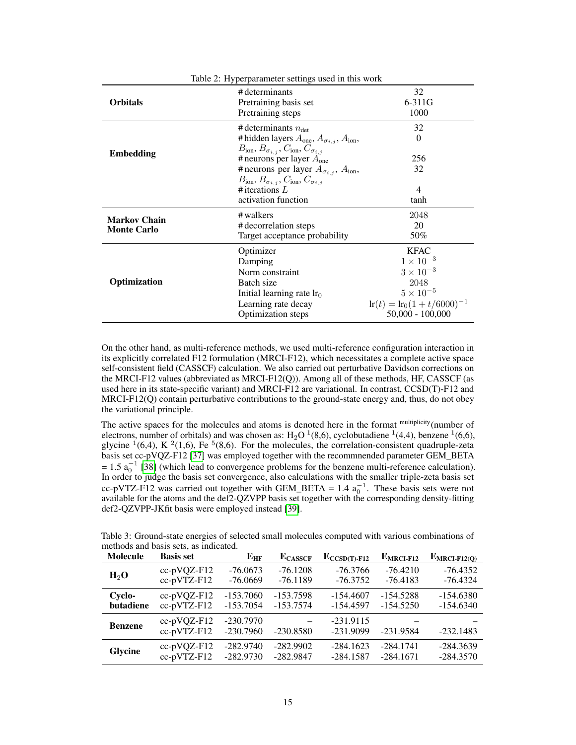<span id="page-14-0"></span>

| Table 2: Hyperparameter settings used in this work |                                                                      |                                               |  |  |
|----------------------------------------------------|----------------------------------------------------------------------|-----------------------------------------------|--|--|
|                                                    | # determinants                                                       | 32                                            |  |  |
| <b>Orbitals</b>                                    | Pretraining basis set                                                | $6 - 311G$                                    |  |  |
|                                                    | Pretraining steps                                                    | 1000                                          |  |  |
|                                                    | # determinants $n_{\text{det}}$                                      | 32                                            |  |  |
|                                                    | # hidden layers $A_{one}$ , $A_{\sigma_{i,j}}$ , $A_{ion}$ ,         | $\Omega$                                      |  |  |
|                                                    | $B_{\text{ion}}, B_{\sigma_{i,j}}, C_{\text{ion}}, C_{\sigma_{i,j}}$ |                                               |  |  |
| <b>Embedding</b>                                   | # neurons per layer $A_{one}$                                        | 256                                           |  |  |
|                                                    | # neurons per layer $A_{\sigma_{i,j}}$ , $A_{\text{ion}}$ ,          | 32                                            |  |  |
|                                                    | $B_{\text{ion}}, B_{\sigma_{i,j}}, C_{\text{ion}}, C_{\sigma_{i,j}}$ |                                               |  |  |
| # iterations $L$                                   |                                                                      | 4                                             |  |  |
|                                                    | activation function                                                  | tanh                                          |  |  |
| <b>Markov Chain</b>                                | $\#$ walkers                                                         | 2048                                          |  |  |
| <b>Monte Carlo</b>                                 | # decorrelation steps                                                | 20                                            |  |  |
|                                                    | Target acceptance probability                                        | 50%                                           |  |  |
|                                                    | Optimizer                                                            | <b>KFAC</b>                                   |  |  |
|                                                    | Damping                                                              | $1 \times 10^{-3}$                            |  |  |
|                                                    | Norm constraint                                                      | $3 \times 10^{-3}$                            |  |  |
| Optimization                                       | Batch size                                                           | 2048                                          |  |  |
|                                                    | Initial learning rate $lr0$                                          | $5 \times 10^{-5}$                            |  |  |
|                                                    | Learning rate decay                                                  | $\text{lr}(t) = \text{lr}_0(1 + t/6000)^{-1}$ |  |  |
|                                                    | Optimization steps                                                   | $50,000 - 100,000$                            |  |  |

On the other hand, as multi-reference methods, we used multi-reference configuration interaction in its explicitly correlated F12 formulation (MRCI-F12), which necessitates a complete active space self-consistent field (CASSCF) calculation. We also carried out perturbative Davidson corrections on the MRCI-F12 values (abbreviated as MRCI-F12(Q)). Among all of these methods, HF, CASSCF (as used here in its state-specific variant) and MRCI-F12 are variational. In contrast, CCSD(T)-F12 and MRCI-F12(Q) contain perturbative contributions to the ground-state energy and, thus, do not obey the variational principle.

The active spaces for the molecules and atoms is denoted here in the format multiplicity(number of electrons, number of orbitals) and was chosen as:  $H_2O<sup>1</sup>(8,6)$ , cyclobutadiene  $<sup>1</sup>(4,4)$ , benzene  $<sup>1</sup>(6,6)$ ,</sup></sup> glycine  $(16,4)$ , K  $(21,6)$ , Fe  $(16,6)$ . For the molecules, the correlation-consistent quadruple-zeta basis set cc-pVQZ-F12 [\[37\]](#page-12-5) was employed together with the recommnended parameter GEM\_BETA  $= 1.5$   $a_0^{-1}$  [\[38\]](#page-12-6) (which lead to convergence problems for the benzene multi-reference calculation). In order to judge the basis set convergence, also calculations with the smaller triple-zeta basis set cc-pVTZ-F12 was carried out together with GEM\_BETA = 1.4  $a_0^{-1}$ . These basis sets were not available for the atoms and the def2-QZVPP basis set together with the corresponding density-fitting def2-QZVPP-JKfit basis were employed instead [\[39\]](#page-12-7).

<span id="page-14-1"></span>Table 3: Ground-state energies of selected small molecules computed with various combinations of methods and basis sets, as indicated.

| <b>Molecule</b> | <b>Basis set</b>                | $E_{HF}$                   | $E_{\rm CASSCF}$ | $E_{\text{CCSD(T)}-F12}$   | $E_{MRCI-F12}$ | $E_{MRCI-F12(Q)}$ |
|-----------------|---------------------------------|----------------------------|------------------|----------------------------|----------------|-------------------|
| $H_2O$          | $cc-pVQZ-F12$                   | $-76.0673$                 | $-76.1208$       | $-76.3766$                 | $-76.4210$     | $-76.4352$        |
|                 | cc-pVTZ-F12                     | $-76.0669$                 | $-76.1189$       | $-76.3752$                 | $-76.4183$     | $-76.4324$        |
| Cyclo-          | $cc-pVQZ-F12$                   | $-153.7060$                | $-153.7598$      | $-154.4607$                | $-154.5288$    | $-154.6380$       |
| butadiene       | $cc$ -pVTZ-F12                  | $-153.7054$                | $-153.7574$      | $-154.4597$                | $-154.5250$    | $-154.6340$       |
| <b>Benzene</b>  | $cc-pVQZ-F12$<br>$cc$ -pVTZ-F12 | $-230.7970$<br>$-230.7960$ | $-230.8580$      | $-231.9115$<br>$-231.9099$ | $-231.9584$    | $-232.1483$       |
| Glycine         | $cc-pVQZ-F12$                   | $-282.9740$                | $-282.9902$      | $-284.1623$                | $-284.1741$    | $-284.3639$       |
|                 | cc-pVTZ-F12                     | $-282.9730$                | $-282.9847$      | $-284.1587$                | $-284.1671$    | $-284.3570$       |